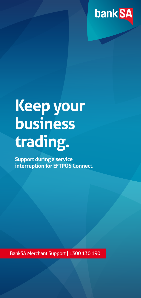

## **Keep your business trading.**

**Support during a service interruption for EFTPOS Connect.**

BankSA Merchant Support | 1300 130 190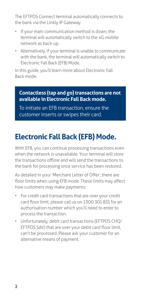The EFTPOS Connect terminal automatically connects to the bank via the Linkly IP Gateway.

- If your main communication method is down, the terminal will automatically switch to the 4G mobile network as back-up.
- Alternatively, if your terminal is unable to communicate with the bank, the terminal will automatically switch to Electronic Fall Back (EFB) Mode.

In this guide, you'll learn more about Electronic Fall Back mode.

**Contactless (tap and go) transactions are not available in Electronic Fall Back mode.**

To initiate an EFB transaction, ensure the customer inserts or swipes their card.

## **Electronic Fall Back (EFB) Mode.**

With EFB, you can continue processing transactions even when the network is unavailable. Your terminal will store the transactions offline and will send the transactions to the bank for processing once service has been restored.

As detailed in your 'Merchant Letter of Offer', there are floor limits when using EFB mode. These limits may affect how customers may make payments:

- For credit card transactions that are over your credit card floor limit, please call us on 1300 301 831 for an authorisation number which you'll need to enter to process the transaction.
- Unfortunately, debit card transactions (EFTPOS CHQ/ EFTPOS SAV) that are over your debit card floor limit, can't be processed. Please ask your customer for an alternative means of payment.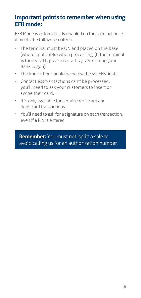## **Important points to remember when using EFB mode:**

EFB Mode is automatically enabled on the terminal once it meets the following criteria:

- The terminal must be ON and placed on the base (where applicable) when processing. (If the terminal is turned OFF, please restart by performing your Bank Logon).
- The transaction should be below the set EFB limits.
- Contactless transactions can't be processed, you'll need to ask your customers to insert or swipe their card.
- It is only available for certain credit card and debit card transactions.
- You'll need to ask for a signature on each transaction, even if a PIN is entered.

**Remember:** You must not 'split' a sale to avoid calling us for an authorisation number.